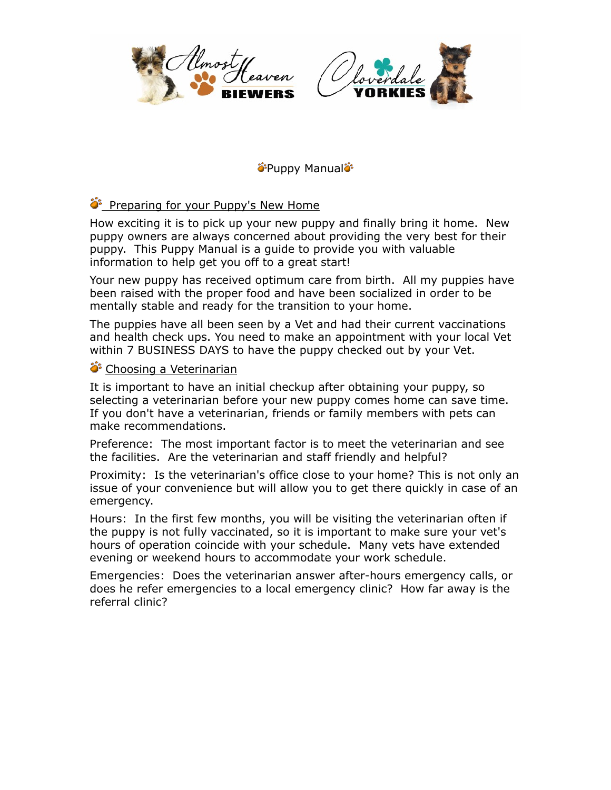



Puppy Manual

# Preparing for your Puppy's New Home

How exciting it is to pick up your new puppy and finally bring it home. New puppy owners are always concerned about providing the very best for their puppy. This Puppy Manual is a guide to provide you with valuable information to help get you off to a great start!

Your new puppy has received optimum care from birth. All my puppies have been raised with the proper food and have been socialized in order to be mentally stable and ready for the transition to your home.

The puppies have all been seen by a Vet and had their current vaccinations and health check ups. You need to make an appointment with your local Vet within 7 BUSINESS DAYS to have the puppy checked out by your Vet.

## Choosing a Veterinarian

It is important to have an initial checkup after obtaining your puppy, so selecting a veterinarian before your new puppy comes home can save time. If you don't have a veterinarian, friends or family members with pets can make recommendations.

Preference: The most important factor is to meet the veterinarian and see the facilities. Are the veterinarian and staff friendly and helpful?

Proximity: Is the veterinarian's office close to your home? This is not only an issue of your convenience but will allow you to get there quickly in case of an emergency.

Hours: In the first few months, you will be visiting the veterinarian often if the puppy is not fully vaccinated, so it is important to make sure your vet's hours of operation coincide with your schedule. Many vets have extended evening or weekend hours to accommodate your work schedule.

Emergencies: Does the veterinarian answer after-hours emergency calls, or does he refer emergencies to a local emergency clinic? How far away is the referral clinic?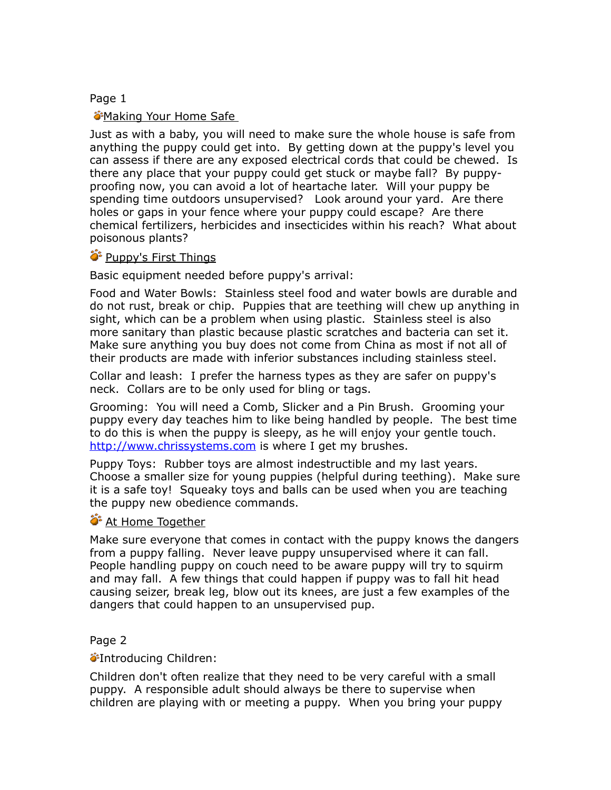## Page 1

## Making Your Home Safe

Just as with a baby, you will need to make sure the whole house is safe from anything the puppy could get into. By getting down at the puppy's level you can assess if there are any exposed electrical cords that could be chewed. Is there any place that your puppy could get stuck or maybe fall? By puppyproofing now, you can avoid a lot of heartache later. Will your puppy be spending time outdoors unsupervised? Look around your yard. Are there holes or gaps in your fence where your puppy could escape? Are there chemical fertilizers, herbicides and insecticides within his reach? What about poisonous plants?

## <sup>2</sup> Puppy's First Things

Basic equipment needed before puppy's arrival:

Food and Water Bowls: Stainless steel food and water bowls are durable and do not rust, break or chip. Puppies that are teething will chew up anything in sight, which can be a problem when using plastic. Stainless steel is also more sanitary than plastic because plastic scratches and bacteria can set it. Make sure anything you buy does not come from China as most if not all of their products are made with inferior substances including stainless steel.

Collar and leash: I prefer the harness types as they are safer on puppy's neck. Collars are to be only used for bling or tags.

Grooming: You will need a Comb, Slicker and a Pin Brush. Grooming your puppy every day teaches him to like being handled by people. The best time to do this is when the puppy is sleepy, as he will enjoy your gentle touch. <http://www.chrissystems.com>is where I get my brushes.

Puppy Toys: Rubber toys are almost indestructible and my last years. Choose a smaller size for young puppies (helpful during teething). Make sure it is a safe toy! Squeaky toys and balls can be used when you are teaching the puppy new obedience commands.

## **At Home Together**

Make sure everyone that comes in contact with the puppy knows the dangers from a puppy falling. Never leave puppy unsupervised where it can fall. People handling puppy on couch need to be aware puppy will try to squirm and may fall. A few things that could happen if puppy was to fall hit head causing seizer, break leg, blow out its knees, are just a few examples of the dangers that could happen to an unsupervised pup.

# Page 2

*S*Introducing Children:

Children don't often realize that they need to be very careful with a small puppy. A responsible adult should always be there to supervise when children are playing with or meeting a puppy. When you bring your puppy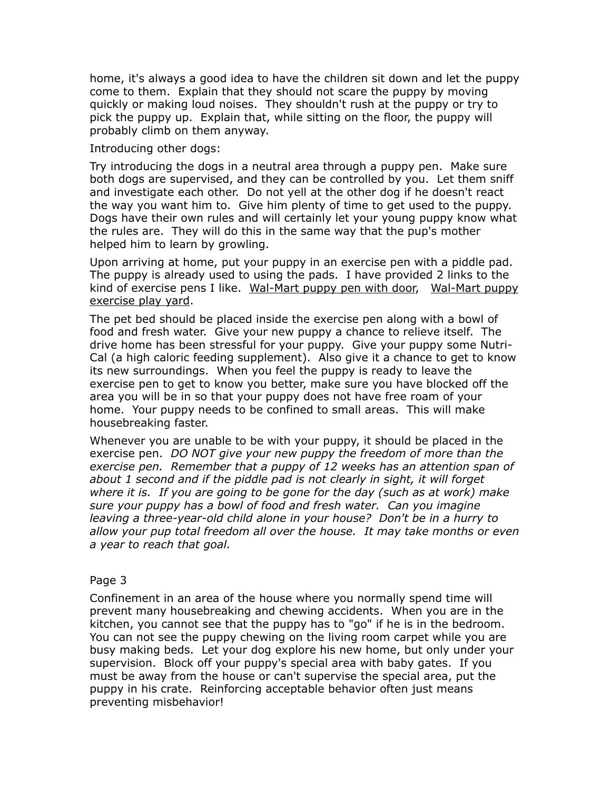home, it's always a good idea to have the children sit down and let the puppy come to them. Explain that they should not scare the puppy by moving quickly or making loud noises. They shouldn't rush at the puppy or try to pick the puppy up. Explain that, while sitting on the floor, the puppy will probably climb on them anyway.

Introducing other dogs:

Try introducing the dogs in a neutral area through a puppy pen. Make sure both dogs are supervised, and they can be controlled by you. Let them sniff and investigate each other. Do not yell at the other dog if he doesn't react the way you want him to. Give him plenty of time to get used to the puppy. Dogs have their own rules and will certainly let your young puppy know what the rules are. They will do this in the same way that the pup's mother helped him to learn by growling.

Upon arriving at home, put your puppy in an exercise pen with a piddle pad. The puppy is already used to using the pads. I have provided 2 links to the kind of exercise pens I like. [Wal-Mart puppy pen with door,](http://www.walmart.com/ip/IRIS-8-Panel-Indoor-Outdoor-Heavy-Duty-Pen-White-Dogs/13025219?findingMethod=rr) [Wal-Mart puppy](http://www.walmart.com/ip/North-States-Superyard-Xt-Gate/8457890)  [exercise play yard](http://www.walmart.com/ip/North-States-Superyard-Xt-Gate/8457890).

The pet bed should be placed inside the exercise pen along with a bowl of food and fresh water. Give your new puppy a chance to relieve itself. The drive home has been stressful for your puppy. Give your puppy some Nutri-Cal (a high caloric feeding supplement). Also give it a chance to get to know its new surroundings. When you feel the puppy is ready to leave the exercise pen to get to know you better, make sure you have blocked off the area you will be in so that your puppy does not have free roam of your home. Your puppy needs to be confined to small areas. This will make housebreaking faster.

Whenever you are unable to be with your puppy, it should be placed in the exercise pen. *DO NOT give your new puppy the freedom of more than the exercise pen. Remember that a puppy of 12 weeks has an attention span of about 1 second and if the piddle pad is not clearly in sight, it will forget where it is. If you are going to be gone for the day (such as at work) make sure your puppy has a bowl of food and fresh water. Can you imagine leaving a three-year-old child alone in your house? Don't be in a hurry to allow your pup total freedom all over the house. It may take months or even a year to reach that goal.*

## Page 3

Confinement in an area of the house where you normally spend time will prevent many housebreaking and chewing accidents. When you are in the kitchen, you cannot see that the puppy has to "go" if he is in the bedroom. You can not see the puppy chewing on the living room carpet while you are busy making beds. Let your dog explore his new home, but only under your supervision. Block off your puppy's special area with baby gates. If you must be away from the house or can't supervise the special area, put the puppy in his crate. Reinforcing acceptable behavior often just means preventing misbehavior!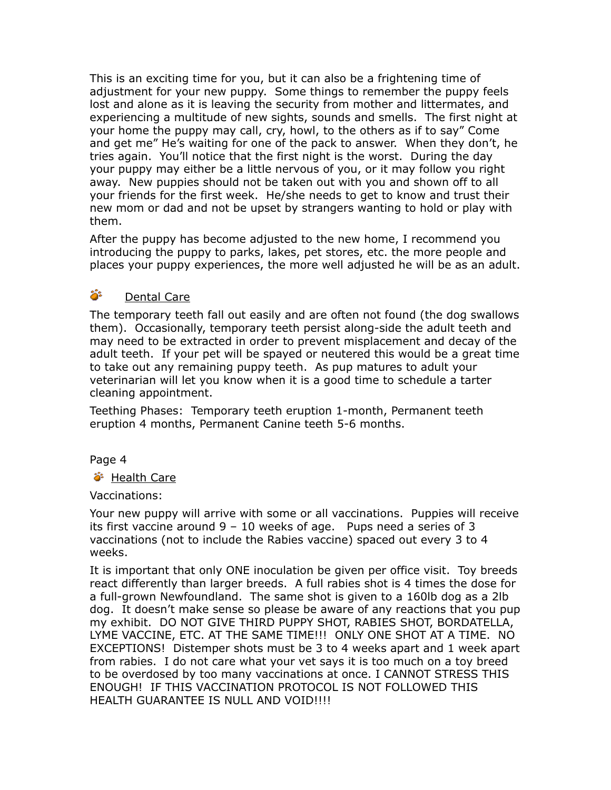This is an exciting time for you, but it can also be a frightening time of adjustment for your new puppy. Some things to remember the puppy feels lost and alone as it is leaving the security from mother and littermates, and experiencing a multitude of new sights, sounds and smells. The first night at your home the puppy may call, cry, howl, to the others as if to say" Come and get me" He's waiting for one of the pack to answer. When they don't, he tries again. You'll notice that the first night is the worst. During the day your puppy may either be a little nervous of you, or it may follow you right away. New puppies should not be taken out with you and shown off to all your friends for the first week. He/she needs to get to know and trust their new mom or dad and not be upset by strangers wanting to hold or play with them.

After the puppy has become adjusted to the new home, I recommend you introducing the puppy to parks, lakes, pet stores, etc. the more people and places your puppy experiences, the more well adjusted he will be as an adult.

# Dental Care

The temporary teeth fall out easily and are often not found (the dog swallows them). Occasionally, temporary teeth persist along-side the adult teeth and may need to be extracted in order to prevent misplacement and decay of the adult teeth. If your pet will be spayed or neutered this would be a great time to take out any remaining puppy teeth. As pup matures to adult your veterinarian will let you know when it is a good time to schedule a tarter cleaning appointment.

Teething Phases: Temporary teeth eruption 1-month, Permanent teeth eruption 4 months, Permanent Canine teeth 5-6 months.

# Page 4

# ் Health Care

# Vaccinations:

Your new puppy will arrive with some or all vaccinations. Puppies will receive its first vaccine around  $9 - 10$  weeks of age. Pups need a series of 3 vaccinations (not to include the Rabies vaccine) spaced out every 3 to 4 weeks.

It is important that only ONE inoculation be given per office visit. Toy breeds react differently than larger breeds. A full rabies shot is 4 times the dose for a full-grown Newfoundland. The same shot is given to a 160lb dog as a 2lb dog. It doesn't make sense so please be aware of any reactions that you pup my exhibit. DO NOT GIVE THIRD PUPPY SHOT, RABIES SHOT, BORDATELLA, LYME VACCINE, ETC. AT THE SAME TIME!!! ONLY ONE SHOT AT A TIME. NO EXCEPTIONS! Distemper shots must be 3 to 4 weeks apart and 1 week apart from rabies. I do not care what your vet says it is too much on a toy breed to be overdosed by too many vaccinations at once. I CANNOT STRESS THIS ENOUGH! IF THIS VACCINATION PROTOCOL IS NOT FOLLOWED THIS HEALTH GUARANTEE IS NULL AND VOID!!!!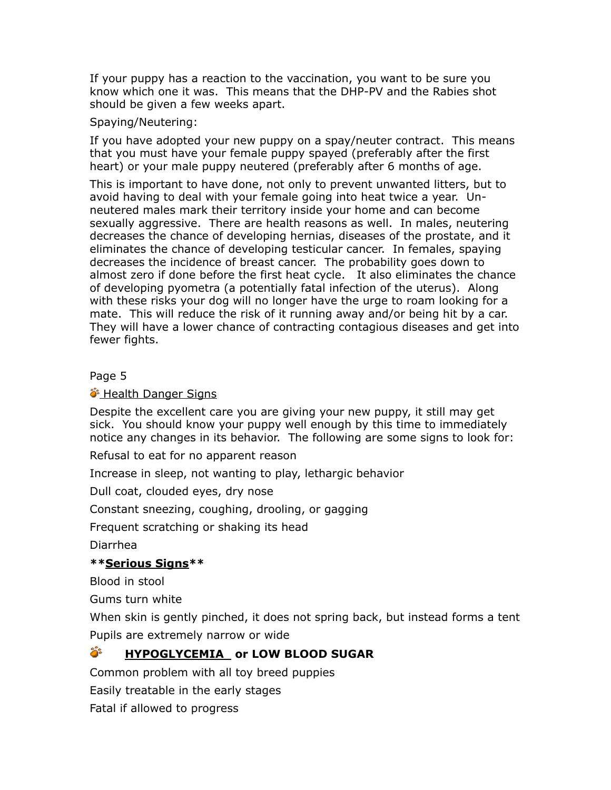If your puppy has a reaction to the vaccination, you want to be sure you know which one it was. This means that the DHP-PV and the Rabies shot should be given a few weeks apart.

## Spaying/Neutering:

If you have adopted your new puppy on a spay/neuter contract. This means that you must have your female puppy spayed (preferably after the first heart) or your male puppy neutered (preferably after 6 months of age.

This is important to have done, not only to prevent unwanted litters, but to avoid having to deal with your female going into heat twice a year. Unneutered males mark their territory inside your home and can become sexually aggressive. There are health reasons as well. In males, neutering decreases the chance of developing hernias, diseases of the prostate, and it eliminates the chance of developing testicular cancer. In females, spaying decreases the incidence of breast cancer. The probability goes down to almost zero if done before the first heat cycle. It also eliminates the chance of developing pyometra (a potentially fatal infection of the uterus). Along with these risks your dog will no longer have the urge to roam looking for a mate. This will reduce the risk of it running away and/or being hit by a car. They will have a lower chance of contracting contagious diseases and get into fewer fights.

# Page 5

# **S** Health Danger Signs

Despite the excellent care you are giving your new puppy, it still may get sick. You should know your puppy well enough by this time to immediately notice any changes in its behavior. The following are some signs to look for:

Refusal to eat for no apparent reason

Increase in sleep, not wanting to play, lethargic behavior

Dull coat, clouded eyes, dry nose

Constant sneezing, coughing, drooling, or gagging

Frequent scratching or shaking its head

Diarrhea

# **\*\*Serious Signs\*\***

Blood in stool

Gums turn white

When skin is gently pinched, it does not spring back, but instead forms a tent Pupils are extremely narrow or wide

# **is HYPOGLYCEMIA or LOW BLOOD SUGAR**

Common problem with all toy breed puppies

Easily treatable in the early stages

Fatal if allowed to progress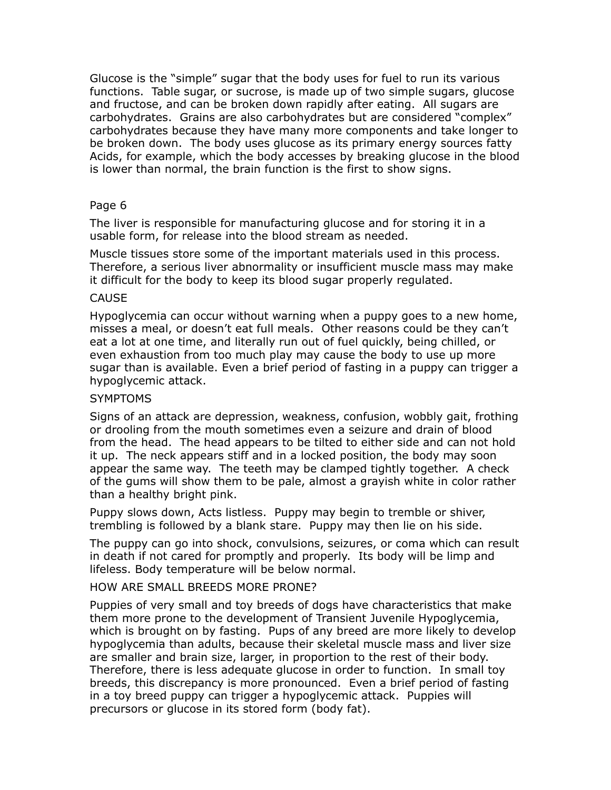Glucose is the "simple" sugar that the body uses for fuel to run its various functions. Table sugar, or sucrose, is made up of two simple sugars, glucose and fructose, and can be broken down rapidly after eating. All sugars are carbohydrates. Grains are also carbohydrates but are considered "complex" carbohydrates because they have many more components and take longer to be broken down. The body uses glucose as its primary energy sources fatty Acids, for example, which the body accesses by breaking glucose in the blood is lower than normal, the brain function is the first to show signs.

## Page 6

The liver is responsible for manufacturing glucose and for storing it in a usable form, for release into the blood stream as needed.

Muscle tissues store some of the important materials used in this process. Therefore, a serious liver abnormality or insufficient muscle mass may make it difficult for the body to keep its blood sugar properly regulated.

## **CAUSE**

Hypoglycemia can occur without warning when a puppy goes to a new home, misses a meal, or doesn't eat full meals. Other reasons could be they can't eat a lot at one time, and literally run out of fuel quickly, being chilled, or even exhaustion from too much play may cause the body to use up more sugar than is available. Even a brief period of fasting in a puppy can trigger a hypoglycemic attack.

## **SYMPTOMS**

Signs of an attack are depression, weakness, confusion, wobbly gait, frothing or drooling from the mouth sometimes even a seizure and drain of blood from the head. The head appears to be tilted to either side and can not hold it up. The neck appears stiff and in a locked position, the body may soon appear the same way. The teeth may be clamped tightly together. A check of the gums will show them to be pale, almost a grayish white in color rather than a healthy bright pink.

Puppy slows down, Acts listless. Puppy may begin to tremble or shiver, trembling is followed by a blank stare. Puppy may then lie on his side.

The puppy can go into shock, convulsions, seizures, or coma which can result in death if not cared for promptly and properly. Its body will be limp and lifeless. Body temperature will be below normal.

## HOW ARE SMALL BREEDS MORE PRONE?

Puppies of very small and toy breeds of dogs have characteristics that make them more prone to the development of Transient Juvenile Hypoglycemia, which is brought on by fasting. Pups of any breed are more likely to develop hypoglycemia than adults, because their skeletal muscle mass and liver size are smaller and brain size, larger, in proportion to the rest of their body. Therefore, there is less adequate glucose in order to function. In small toy breeds, this discrepancy is more pronounced. Even a brief period of fasting in a toy breed puppy can trigger a hypoglycemic attack. Puppies will precursors or glucose in its stored form (body fat).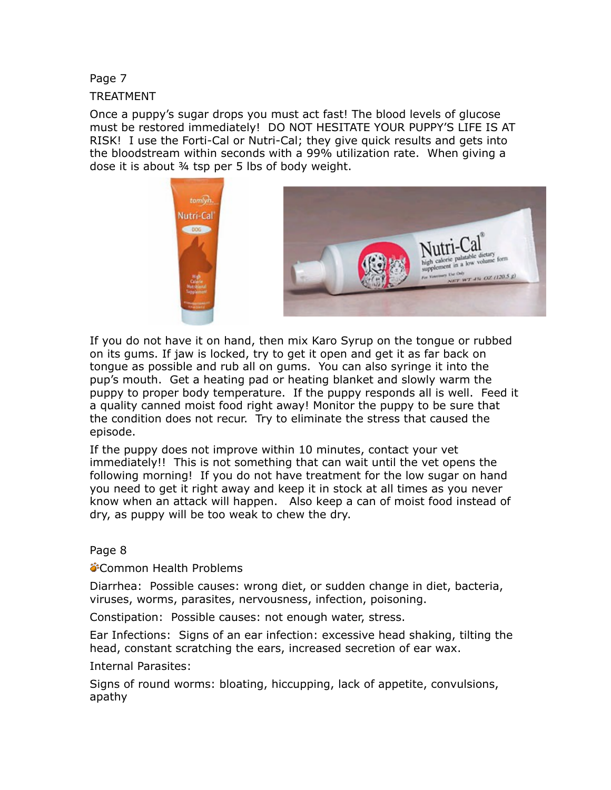Page 7

TREATMENT

Once a puppy's sugar drops you must act fast! The blood levels of glucose must be restored immediately! DO NOT HESITATE YOUR PUPPY'S LIFE IS AT RISK! I use the Forti-Cal or Nutri-Cal; they give quick results and gets into the bloodstream within seconds with a 99% utilization rate. When giving a dose it is about ¾ tsp per 5 lbs of body weight.



If you do not have it on hand, then mix Karo Syrup on the tongue or rubbed on its gums. If jaw is locked, try to get it open and get it as far back on tongue as possible and rub all on gums. You can also syringe it into the pup's mouth. Get a heating pad or heating blanket and slowly warm the puppy to proper body temperature. If the puppy responds all is well. Feed it a quality canned moist food right away! Monitor the puppy to be sure that the condition does not recur. Try to eliminate the stress that caused the episode.

If the puppy does not improve within 10 minutes, contact your vet immediately!! This is not something that can wait until the vet opens the following morning! If you do not have treatment for the low sugar on hand you need to get it right away and keep it in stock at all times as you never know when an attack will happen. Also keep a can of moist food instead of dry, as puppy will be too weak to chew the dry.

Page 8

**Common Health Problems** 

Diarrhea: Possible causes: wrong diet, or sudden change in diet, bacteria, viruses, worms, parasites, nervousness, infection, poisoning.

Constipation: Possible causes: not enough water, stress.

Ear Infections: Signs of an ear infection: excessive head shaking, tilting the head, constant scratching the ears, increased secretion of ear wax.

Internal Parasites:

Signs of round worms: bloating, hiccupping, lack of appetite, convulsions, apathy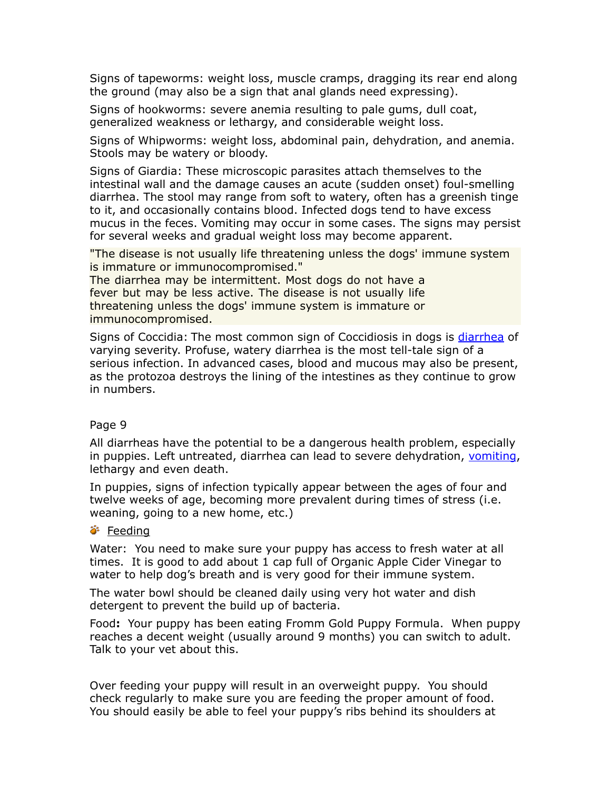Signs of tapeworms: weight loss, muscle cramps, dragging its rear end along the ground (may also be a sign that anal glands need expressing).

Signs of hookworms: severe anemia resulting to pale gums, dull coat, generalized weakness or lethargy, and considerable weight loss.

Signs of Whipworms: weight loss, abdominal pain, dehydration, and anemia. Stools may be watery or bloody.

Signs of Giardia: These microscopic parasites attach themselves to the intestinal wall and the damage causes an acute (sudden onset) foul-smelling diarrhea. The stool may range from soft to watery, often has a greenish tinge to it, and occasionally contains blood. Infected dogs tend to have excess mucus in the feces. Vomiting may occur in some cases. The signs may persist for several weeks and gradual weight loss may become apparent.

"The disease is not usually life threatening unless the dogs' immune system is immature or immunocompromised."

The diarrhea may be intermittent. Most dogs do not have a fever but may be less active. The disease is not usually life threatening unless the dogs' immune system is immature or immunocompromised.

Signs of Coccidia: The most common sign of Coccidiosis in dogs is [diarrhea](http://www.professorshouse.com/Pets/Dogs/Health/Articles/Dog-Diarrhea---Treatment-and-Prevention-of-Diarrhea/) of varying severity. Profuse, watery diarrhea is the most tell-tale sign of a serious infection. In advanced cases, blood and mucous may also be present, as the protozoa destroys the lining of the intestines as they continue to grow in numbers.

## Page 9

All diarrheas have the potential to be a dangerous health problem, especially in puppies. Left untreated, diarrhea can lead to severe dehydration, [vomiting,](http://www.professorshouse.com/Pets/Dogs/Health/Articles/Dog-Vomiting/) lethargy and even death.

In puppies, signs of infection typically appear between the ages of four and twelve weeks of age, becoming more prevalent during times of stress (i.e. weaning, going to a new home, etc.)

## Feeding فَ

Water: You need to make sure your puppy has access to fresh water at all times. It is good to add about 1 cap full of Organic Apple Cider Vinegar to water to help dog's breath and is very good for their immune system.

The water bowl should be cleaned daily using very hot water and dish detergent to prevent the build up of bacteria.

Food**:** Your puppy has been eating Fromm Gold Puppy Formula. When puppy reaches a decent weight (usually around 9 months) you can switch to adult. Talk to your vet about this.

Over feeding your puppy will result in an overweight puppy. You should check regularly to make sure you are feeding the proper amount of food. You should easily be able to feel your puppy's ribs behind its shoulders at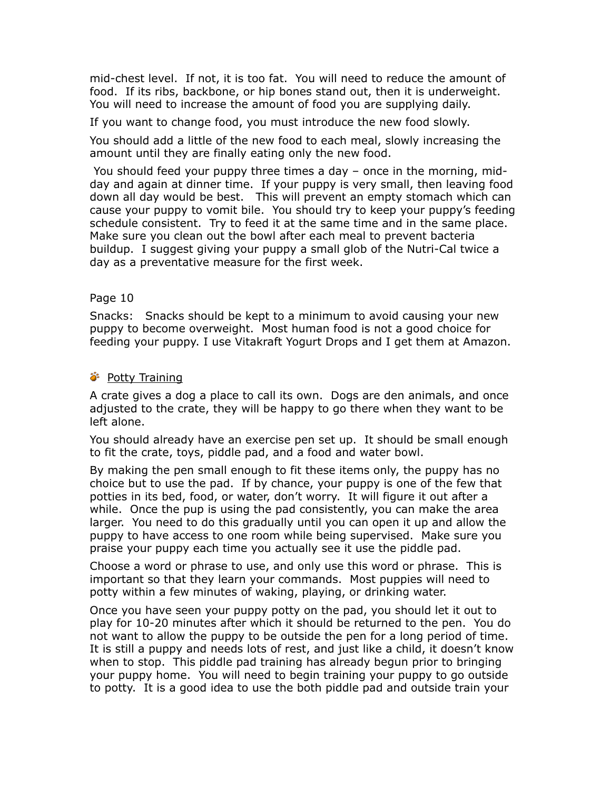mid-chest level. If not, it is too fat. You will need to reduce the amount of food. If its ribs, backbone, or hip bones stand out, then it is underweight. You will need to increase the amount of food you are supplying daily.

If you want to change food, you must introduce the new food slowly.

You should add a little of the new food to each meal, slowly increasing the amount until they are finally eating only the new food.

 You should feed your puppy three times a day – once in the morning, midday and again at dinner time. If your puppy is very small, then leaving food down all day would be best. This will prevent an empty stomach which can cause your puppy to vomit bile. You should try to keep your puppy's feeding schedule consistent. Try to feed it at the same time and in the same place. Make sure you clean out the bowl after each meal to prevent bacteria buildup. I suggest giving your puppy a small glob of the Nutri-Cal twice a day as a preventative measure for the first week.

# Page 10

Snacks: Snacks should be kept to a minimum to avoid causing your new puppy to become overweight. Most human food is not a good choice for feeding your puppy. I use Vitakraft Yogurt Drops and I get them at Amazon.

# *S* Potty Training

A crate gives a dog a place to call its own. Dogs are den animals, and once adjusted to the crate, they will be happy to go there when they want to be left alone.

You should already have an exercise pen set up. It should be small enough to fit the crate, toys, piddle pad, and a food and water bowl.

By making the pen small enough to fit these items only, the puppy has no choice but to use the pad. If by chance, your puppy is one of the few that potties in its bed, food, or water, don't worry. It will figure it out after a while. Once the pup is using the pad consistently, you can make the area larger. You need to do this gradually until you can open it up and allow the puppy to have access to one room while being supervised. Make sure you praise your puppy each time you actually see it use the piddle pad.

Choose a word or phrase to use, and only use this word or phrase. This is important so that they learn your commands. Most puppies will need to potty within a few minutes of waking, playing, or drinking water.

Once you have seen your puppy potty on the pad, you should let it out to play for 10-20 minutes after which it should be returned to the pen. You do not want to allow the puppy to be outside the pen for a long period of time. It is still a puppy and needs lots of rest, and just like a child, it doesn't know when to stop. This piddle pad training has already begun prior to bringing your puppy home. You will need to begin training your puppy to go outside to potty. It is a good idea to use the both piddle pad and outside train your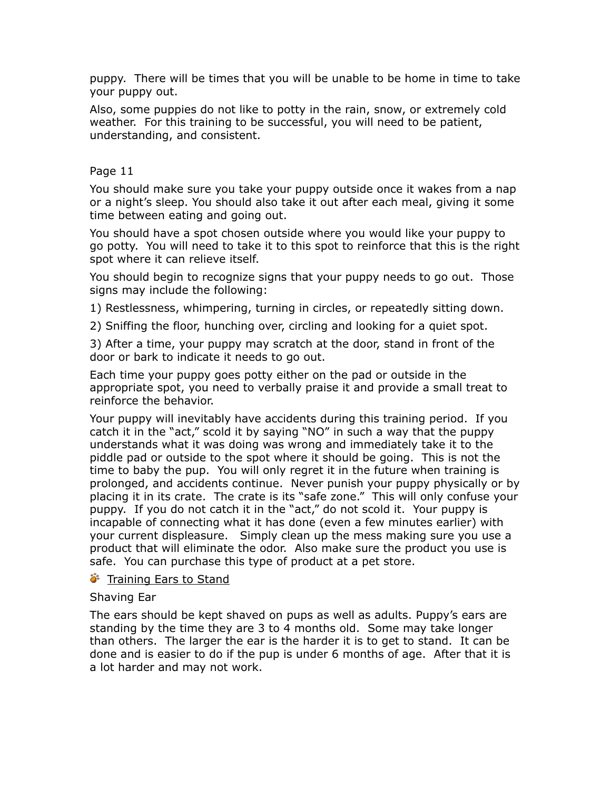puppy. There will be times that you will be unable to be home in time to take your puppy out.

Also, some puppies do not like to potty in the rain, snow, or extremely cold weather. For this training to be successful, you will need to be patient, understanding, and consistent.

# Page 11

You should make sure you take your puppy outside once it wakes from a nap or a night's sleep. You should also take it out after each meal, giving it some time between eating and going out.

You should have a spot chosen outside where you would like your puppy to go potty. You will need to take it to this spot to reinforce that this is the right spot where it can relieve itself.

You should begin to recognize signs that your puppy needs to go out. Those signs may include the following:

1) Restlessness, whimpering, turning in circles, or repeatedly sitting down.

2) Sniffing the floor, hunching over, circling and looking for a quiet spot.

3) After a time, your puppy may scratch at the door, stand in front of the door or bark to indicate it needs to go out.

Each time your puppy goes potty either on the pad or outside in the appropriate spot, you need to verbally praise it and provide a small treat to reinforce the behavior.

Your puppy will inevitably have accidents during this training period. If you catch it in the "act," scold it by saying "NO" in such a way that the puppy understands what it was doing was wrong and immediately take it to the piddle pad or outside to the spot where it should be going. This is not the time to baby the pup. You will only regret it in the future when training is prolonged, and accidents continue. Never punish your puppy physically or by placing it in its crate. The crate is its "safe zone." This will only confuse your puppy. If you do not catch it in the "act," do not scold it. Your puppy is incapable of connecting what it has done (even a few minutes earlier) with your current displeasure. Simply clean up the mess making sure you use a product that will eliminate the odor. Also make sure the product you use is safe. You can purchase this type of product at a pet store.

# Training Ears to Stand

# Shaving Ear

The ears should be kept shaved on pups as well as adults. Puppy's ears are standing by the time they are 3 to 4 months old. Some may take longer than others. The larger the ear is the harder it is to get to stand. It can be done and is easier to do if the pup is under 6 months of age. After that it is a lot harder and may not work.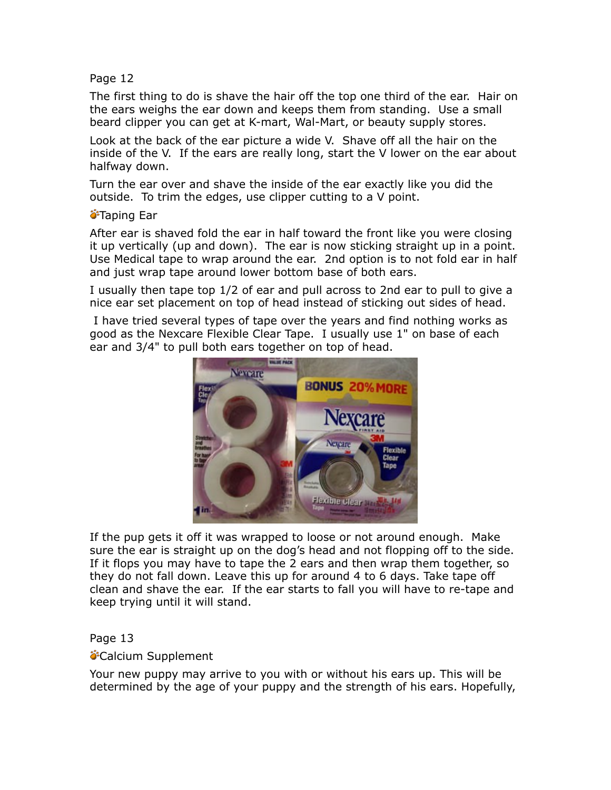## Page 12

The first thing to do is shave the hair off the top one third of the ear. Hair on the ears weighs the ear down and keeps them from standing. Use a small beard clipper you can get at K-mart, Wal-Mart, or beauty supply stores.

Look at the back of the ear picture a wide V. Shave off all the hair on the inside of the V. If the ears are really long, start the V lower on the ear about halfway down.

Turn the ear over and shave the inside of the ear exactly like you did the outside. To trim the edges, use clipper cutting to a V point.

## *<del>•</del>Taping Ear*

After ear is shaved fold the ear in half toward the front like you were closing it up vertically (up and down). The ear is now sticking straight up in a point. Use Medical tape to wrap around the ear. 2nd option is to not fold ear in half and just wrap tape around lower bottom base of both ears.

I usually then tape top 1/2 of ear and pull across to 2nd ear to pull to give a nice ear set placement on top of head instead of sticking out sides of head.

 I have tried several types of tape over the years and find nothing works as good as the Nexcare Flexible Clear Tape. I usually use 1" on base of each ear and 3/4" to pull both ears together on top of head.



If the pup gets it off it was wrapped to loose or not around enough. Make sure the ear is straight up on the dog's head and not flopping off to the side. If it flops you may have to tape the 2 ears and then wrap them together, so they do not fall down. Leave this up for around 4 to 6 days. Take tape off clean and shave the ear. If the ear starts to fall you will have to re-tape and keep trying until it will stand.

## Page 13

## **Calcium Supplement**

Your new puppy may arrive to you with or without his ears up. This will be determined by the age of your puppy and the strength of his ears. Hopefully,